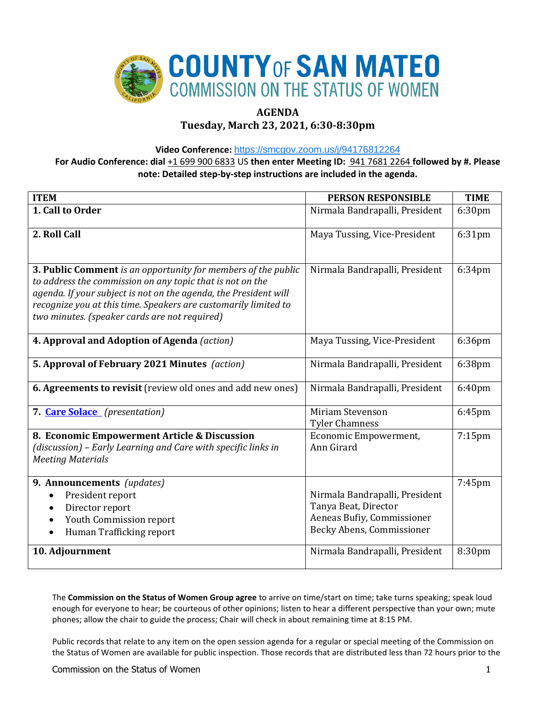

# **AGENDA**

# **Tuesday, March 23, 2021, 6:30-8:30pm**

**Video Conference:** <https://smcgov.zoom.us/j/94176812264>

**For Audio Conference: dial** +1 699 900 6833 US **then enter Meeting ID:** 941 7681 2264 **followed by #. Please note: Detailed step-by-step instructions are included in the agenda.**

| <b>ITEM</b>                                                                                                                                                                                                                                                                                                        | <b>PERSON RESPONSIBLE</b>                                                                                                                           | <b>TIME</b>         |
|--------------------------------------------------------------------------------------------------------------------------------------------------------------------------------------------------------------------------------------------------------------------------------------------------------------------|-----------------------------------------------------------------------------------------------------------------------------------------------------|---------------------|
| 1. Call to Order                                                                                                                                                                                                                                                                                                   | Nirmala Bandrapalli, President                                                                                                                      | 6:30pm              |
| 2. Roll Call                                                                                                                                                                                                                                                                                                       | Maya Tussing, Vice-President                                                                                                                        | 6:31pm              |
| 3. Public Comment is an opportunity for members of the public<br>to address the commission on any topic that is not on the<br>agenda. If your subject is not on the agenda, the President will<br>recognize you at this time. Speakers are customarily limited to<br>two minutes. (speaker cards are not required) | Nirmala Bandrapalli, President                                                                                                                      | 6:34pm              |
| 4. Approval and Adoption of Agenda (action)                                                                                                                                                                                                                                                                        | Maya Tussing, Vice-President                                                                                                                        | 6:36pm              |
| 5. Approval of February 2021 Minutes (action)                                                                                                                                                                                                                                                                      | Nirmala Bandrapalli, President                                                                                                                      | 6:38pm              |
| 6. Agreements to revisit (review old ones and add new ones)                                                                                                                                                                                                                                                        | Nirmala Bandrapalli, President                                                                                                                      | 6:40 <sub>pm</sub>  |
| 7. Care Solace (presentation)                                                                                                                                                                                                                                                                                      | Miriam Stevenson<br><b>Tyler Chamness</b>                                                                                                           | 6:45pm              |
| 8. Economic Empowerment Article & Discussion<br>(discussion) - Early Learning and Care with specific links in<br><b>Meeting Materials</b>                                                                                                                                                                          | Economic Empowerment,<br>Ann Girard                                                                                                                 | $7:15$ pm           |
| 9. Announcements (updates)<br>President report<br>Director report<br>Youth Commission report<br>Human Trafficking report<br>10. Adjournment                                                                                                                                                                        | Nirmala Bandrapalli, President<br>Tanya Beat, Director<br>Aeneas Bufiy, Commissioner<br>Becky Abens, Commissioner<br>Nirmala Bandrapalli, President | $7:45$ pm<br>8:30pm |
|                                                                                                                                                                                                                                                                                                                    |                                                                                                                                                     |                     |

The **Commission on the Status of Women Group agree** to arrive on time/start on time; take turns speaking; speak loud enough for everyone to hear; be courteous of other opinions; listen to hear a different perspective than your own; mute phones; allow the chair to guide the process; Chair will check in about remaining time at 8:15 PM.

Public records that relate to any item on the open session agenda for a regular or special meeting of the Commission on the Status of Women are available for public inspection. Those records that are distributed less than 72 hours prior to the

Commission on the Status of Women 1 and 200 minutes of the Status of Women 1 and 200 minutes of the Status of Women 1 and 200 minutes of the Status of Women 1 and 200 minutes of the Status of Women 1 and 200 minutes of the